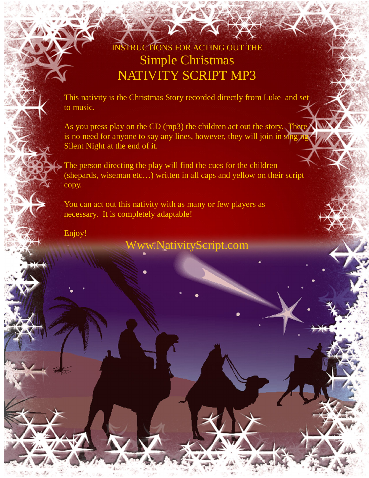# INSTRUCTIONS FOR ACTING OUT THE Simple Christmas NATIVITY SCRIPT MP3

This nativity is the Christmas Story recorded directly from Luke and set to music.

As you press play on the CD (mp3) the children act out the story. There is no need for anyone to say any lines, however, they will join in singing Silent Night at the end of it.

The person directing the play will find the cues for the children (shepards, wiseman etc…) written in all caps and yellow on their script copy.

You can act out this nativity with as many or few players as necessary. It is completely adaptable!

Enjoy!

Www.NativityScript.com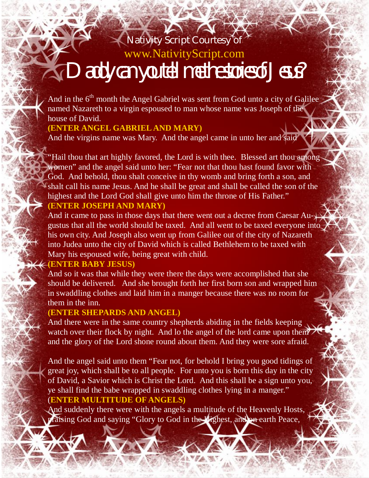# Nativity Script Courtesy of www.NativityScript.com **Daddy can you tell me the stories of Jesus?**

And in the 6<sup>th</sup> month the Angel Gabriel was sent from God unto a city of Galilee named Nazareth to a virgin espoused to man whose name was Joseph of the house of David.

# **(ENTER ANGEL GABRIEL AND MARY)**

And the virgins name was Mary. And the angel came in unto her and said

"Hail thou that art highly favored, the Lord is with thee. Blessed art thou among women" and the angel said unto her: "Fear not that thou hast found favor with God. And behold, thou shalt conceive in thy womb and bring forth a son, and shalt call his name Jesus. And he shall be great and shall be called the son of the highest and the Lord God shall give unto him the throne of His Father."

# **(ENTER JOSEPH AND MARY)**

And it came to pass in those days that there went out a decree from Caesar Augustus that all the world should be taxed. And all went to be taxed everyone into his own city. And Joseph also went up from Galilee out of the city of Nazareth into Judea unto the city of David which is called Bethlehem to be taxed with Mary his espoused wife, being great with child.

### **(ENTER BABY JESUS)**

And so it was that while they were there the days were accomplished that she should be delivered. And she brought forth her first born son and wrapped him in swaddling clothes and laid him in a manger because there was no room for them in the inn.

# **(ENTER SHEPARDS AND ANGEL)**

And there were in the same country shepherds abiding in the fields keeping watch over their flock by night. And lo the angel of the lord came upon them and the glory of the Lord shone round about them. And they were sore afraid.

And the angel said unto them "Fear not, for behold I bring you good tidings of great joy, which shall be to all people. For unto you is born this day in the city of David, a Savior which is Christ the Lord. And this shall be a sign unto you, ye shall find the babe wrapped in swaddling clothes lying in a manger." (**ENTER MULTITUDE OF ANGELS)**

And suddenly there were with the angels a multitude of the Heavenly Hosts, praising God and saying "Glory to God in the Highest, and on earth Peace,